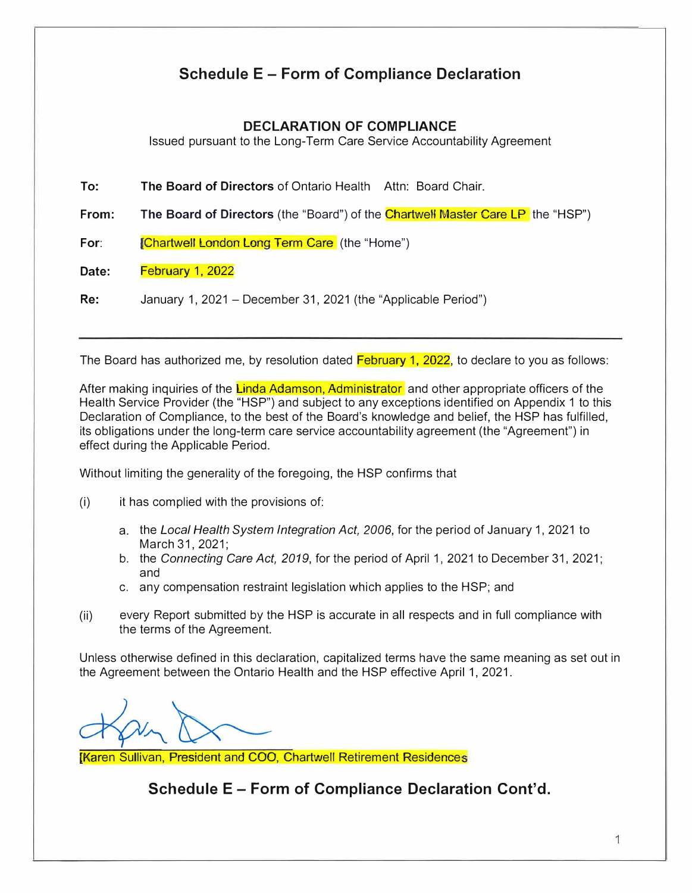## **Schedule E - Form of Compliance Declaration**

### **DECLARATION OF COMPLIANCE**

Issued pursuant to the Long-Term Care Service Accountability Agreement

**To: The Board of Directors** of Ontario Health Attn: Board Chair.

**From:** The Board of Directors (the "Board") of the Chartwell Master Care LP the "HSP")

For: *Chartwell London Long Term Care* (the "Home")

**Date:** February 1, 2022

**Re:** January 1, 2021 - December 31, 2021 (the "Applicable Period")

The Board has authorized me, by resolution dated February 1, 2022, to declare to you as follows:

After making inquiries of the Linda Adamson, Administrator and other appropriate officers of the Health Service Provider (the "HSP") and subject to any exceptions identified on Appendix 1 to this Declaration of Compliance, to the best of the Board's knowledge and belief, the HSP has fulfilled, its obligations under the long-term care service accountability agreement (the "Agreement") in effect during the Applicable Period.

Without limiting the generality of the foregoing, the HSP confirms that

(i) it has complied with the provisions of:

- a. the *Local Health System Integration Act, 2006,* for the period of January 1, 2021 to March 31, 2021;
- b. the *Connecting Care Act, 2019,* for the period of April 1, 2021 to December 31, 2021; and
- c. any compensation restraint legislation which applies to the HSP; and
- (ii) every Report submitted by the HSP is accurate in all respects and in full compliance with the terms of the Agreement.

Unless otherwise defined in this declaration, capitalized terms have the same meaning as set out in the Agreement between the Ontario Health and the HSP effective April 1, 2021.

[Karen Sullivan, President and COO, Chartwell Retirement Residence

**Schedule E - Form of Compliance Declaration Cont'd.**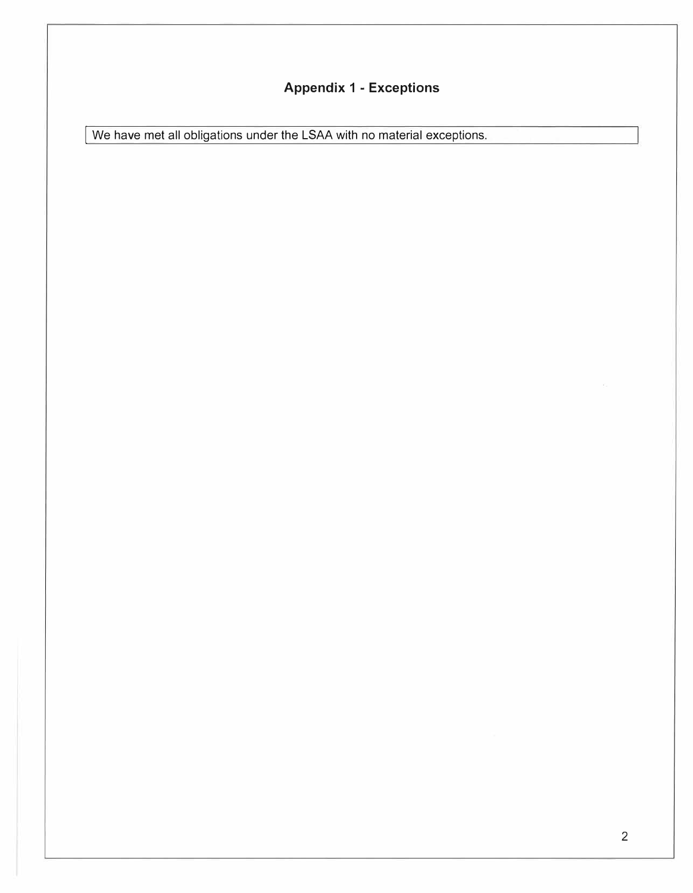# **Appendix 1 - Exceptions**

We have met all obligations under the LSAA with no material exceptions.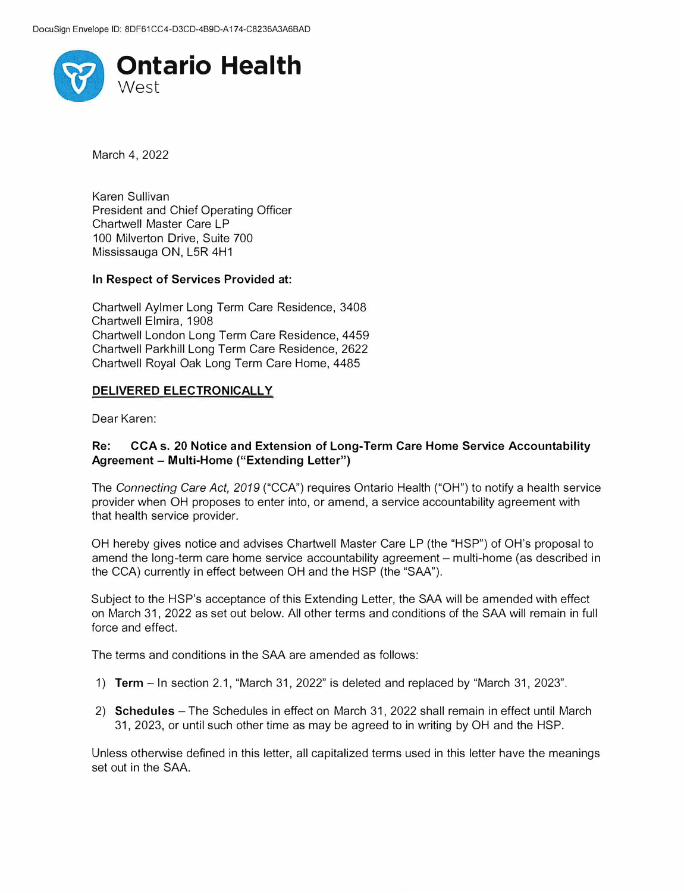

March 4, 2022

Karen Sullivan President and Chief Operating Officer Chartwell Master Care LP 100 Milverton Drive, Suite 700 Mississauga ON, L5R 4H1

#### **In Respect of Services Provided at:**

Chartwell Aylmer Long Term Care Residence, 3408 Chartwell Elmira, 1908 Chartwell London Long Term Care Residence, 4459 Chartwell Parkhill Long Term Care Residence, 2622 Chartwell Royal Oak Long Term Care Home, 4485

#### **DELIVERED ELECTRONICALLY**

Dear Karen:

#### **Re: CCA s. 20 Notice and Extension of Long-Term Care Home Service Accountability Agreement - Multi-Home ("Extending Letter")**

The *Connecting Care Act, 2019* ("CCA") requires Ontario Health ("OH") to notify a health service provider when OH proposes to enter into, or amend, a service accountability agreement with that health service provider.

OH hereby gives notice and advises Chartwell Master Care LP (the "HSP") of OH's proposal to amend the long-term care home service accountability agreement - multi-home (as described in the CCA) currently in effect between OH and the HSP (the "SAA").

Subject to the HSP's acceptance of this Extending Letter, the SAA will be amended with effect on March 31, 2022 as set out below. All other terms and conditions of the SAA will remain in full force and effect.

The terms and conditions in the SAA are amended as follows:

- 1) **Term**  In section 2.1, "March 31, 2022" is deleted and replaced by "March 31, 2023".
- 2) **Schedules**  The Schedules in effect on March 31, 2022 shall remain in effect until March 31, 2023, or until such other time as may be agreed to in writing by OH and the HSP.

Unless otherwise defined in this letter, all capitalized terms used in this letter have the meanings set out in the SAA.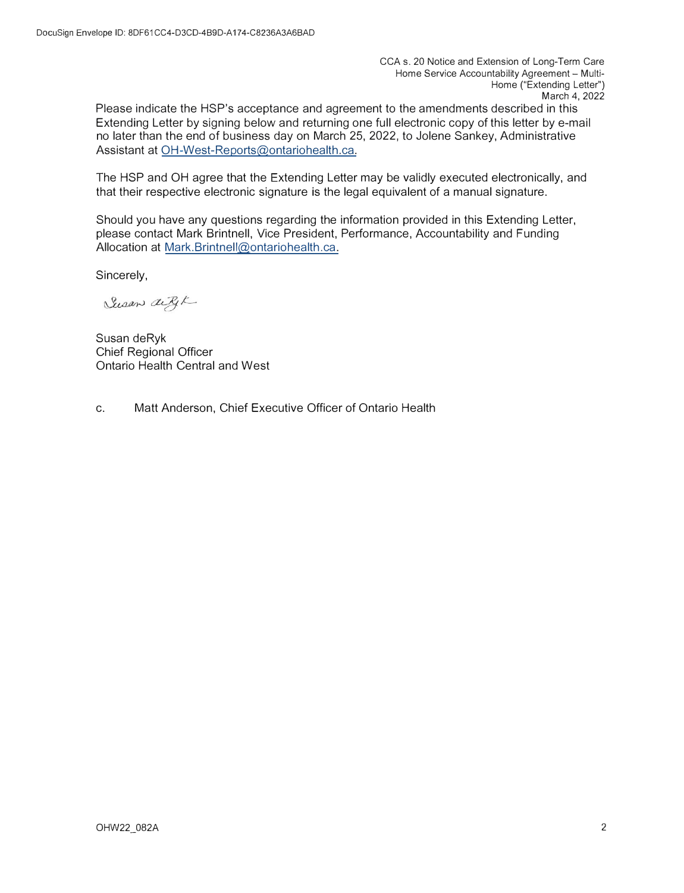CCA s. 20 Notice and Extension of Long-Term Care Home Service Accountability Agreement - Multi-Home ("Extending Letter") March 4, 2022

Please indicate the HSP's acceptance and agreement to the amendments described in this Extending Letter by signing below and returning one full electronic copy of this letter by e-mail no later than the end of business day on March 25, 2022, to Jolene Sankey, Administrative Assistant at OH-West-Reports@ontariohealth.ca.

The HSP and OH agree that the Extending Letter may be validly executed electronically, and that their respective electronic signature is the legal equivalent of a manual signature.

Should you have any questions regarding the information provided in this Extending Letter, please contact Mark Brintnell, Vice President, Performance, Accountability and Funding Allocation at Mark.Brintnell@ontariohealth.ca.

Sincerely,

Susan aige

Susan deRyk Chief Regional Officer Ontario Health Central and West

c. Matt Anderson, Chief Executive Officer of Ontario Health